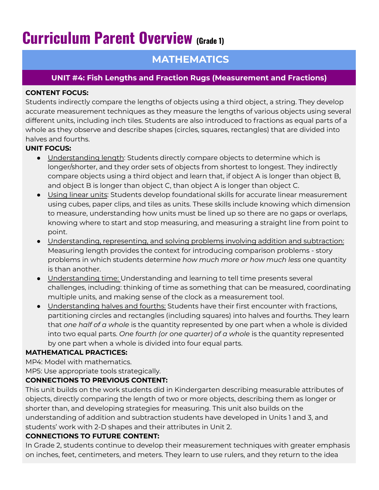# **Curriculum Parent Overview (Grade 1)**

## **MATHEMATICS**

### **UNIT #4: Fish Lengths and Fraction Rugs (Measurement and Fractions)**

#### **CONTENT FOCUS:**

Students indirectly compare the lengths of objects using a third object, a string. They develop accurate measurement techniques as they measure the lengths of various objects using several different units, including inch tiles. Students are also introduced to fractions as equal parts of a whole as they observe and describe shapes (circles, squares, rectangles) that are divided into halves and fourths.

#### **UNIT FOCUS:**

- Understanding length: Students directly compare objects to determine which is longer/shorter, and they order sets of objects from shortest to longest. They indirectly compare objects using a third object and learn that, if object A is longer than object B, and object B is longer than object C, than object A is longer than object C.
- Using linear units: Students develop foundational skills for accurate linear measurement using cubes, paper clips, and tiles as units. These skills include knowing which dimension to measure, understanding how units must be lined up so there are no gaps or overlaps, knowing where to start and stop measuring, and measuring a straight line from point to point.
- Understanding, representing, and solving problems involving addition and subtraction: Measuring length provides the context for introducing comparison problems - story problems in which students determine *how much more or how much less* one quantity is than another.
- Understanding time: Understanding and learning to tell time presents several challenges, including: thinking of time as something that can be measured, coordinating multiple units, and making sense of the clock as a measurement tool.
- Understanding halves and fourths: Students have their first encounter with fractions, partitioning circles and rectangles (including squares) into halves and fourths. They learn that *one half of a whole* is the quantity represented by one part when a whole is divided into two equal parts. *One fourth (or one quarter) of a whole* is the quantity represented by one part when a whole is divided into four equal parts.

#### **MATHEMATICAL PRACTICES:**

MP4: Model with mathematics.

MP5: Use appropriate tools strategically.

#### **CONNECTIONS TO PREVIOUS CONTENT:**

This unit builds on the work students did in Kindergarten describing measurable attributes of objects, directly comparing the length of two or more objects, describing them as longer or shorter than, and developing strategies for measuring. This unit also builds on the understanding of addition and subtraction students have developed in Units 1 and 3, and students' work with 2-D shapes and their attributes in Unit 2.

#### **CONNECTIONS TO FUTURE CONTENT:**

In Grade 2, students continue to develop their measurement techniques with greater emphasis on inches, feet, centimeters, and meters. They learn to use rulers, and they return to the idea